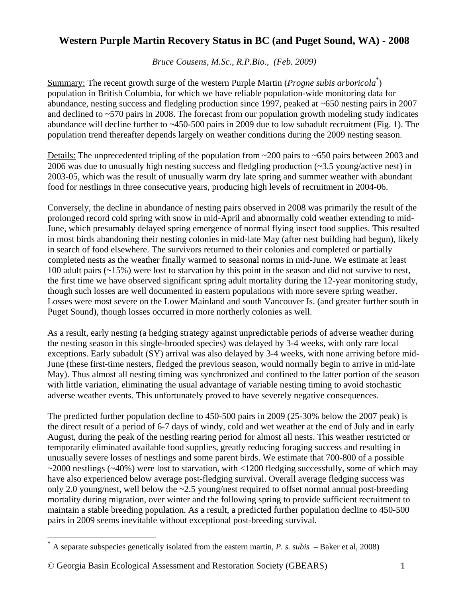## **Western Purple Martin Recovery Status in BC (and Puget Sound, WA) - 2008**

*Bruce Cousens, M.Sc., R.P.Bio., (Feb. 2009)* 

Summary: The recent growth surge of the western Purple Martin (*Progne subis arboricola*<sup>[\\*](#page-0-0)</sup>) population in British Columbia, for which we have reliable population-wide monitoring data for abundance, nesting success and fledgling production since 1997, peaked at ~650 nesting pairs in 2007 and declined to ~570 pairs in 2008. The forecast from our population growth modeling study indicates abundance will decline further to ~450-500 pairs in 2009 due to low subadult recruitment (Fig. 1). The population trend thereafter depends largely on weather conditions during the 2009 nesting season.

Details: The unprecedented tripling of the population from ~200 pairs to ~650 pairs between 2003 and 2006 was due to unusually high nesting success and fledgling production (~3.5 young/active nest) in 2003-05, which was the result of unusually warm dry late spring and summer weather with abundant food for nestlings in three consecutive years, producing high levels of recruitment in 2004-06.

Conversely, the decline in abundance of nesting pairs observed in 2008 was primarily the result of the prolonged record cold spring with snow in mid-April and abnormally cold weather extending to mid-June, which presumably delayed spring emergence of normal flying insect food supplies. This resulted in most birds abandoning their nesting colonies in mid-late May (after nest building had begun), likely in search of food elsewhere. The survivors returned to their colonies and completed or partially completed nests as the weather finally warmed to seasonal norms in mid-June. We estimate at least 100 adult pairs (~15%) were lost to starvation by this point in the season and did not survive to nest, the first time we have observed significant spring adult mortality during the 12-year monitoring study, though such losses are well documented in eastern populations with more severe spring weather. Losses were most severe on the Lower Mainland and south Vancouver Is. (and greater further south in Puget Sound), though losses occurred in more northerly colonies as well.

As a result, early nesting (a hedging strategy against unpredictable periods of adverse weather during the nesting season in this single-brooded species) was delayed by 3-4 weeks, with only rare local exceptions. Early subadult (SY) arrival was also delayed by 3-4 weeks, with none arriving before mid-June (these first-time nesters, fledged the previous season, would normally begin to arrive in mid-late May). Thus almost all nesting timing was synchronized and confined to the latter portion of the season with little variation, eliminating the usual advantage of variable nesting timing to avoid stochastic adverse weather events. This unfortunately proved to have severely negative consequences.

The predicted further population decline to 450-500 pairs in 2009 (25-30% below the 2007 peak) is the direct result of a period of 6-7 days of windy, cold and wet weather at the end of July and in early August, during the peak of the nestling rearing period for almost all nests. This weather restricted or temporarily eliminated available food supplies, greatly reducing foraging success and resulting in unusually severe losses of nestlings and some parent birds. We estimate that 700-800 of a possible ~2000 nestlings (~40%) were lost to starvation, with <1200 fledging successfully, some of which may have also experienced below average post-fledging survival. Overall average fledging success was only 2.0 young/nest, well below the  $\sim$ 2.5 young/nest required to offset normal annual post-breeding mortality during migration, over winter and the following spring to provide sufficient recruitment to maintain a stable breeding population. As a result, a predicted further population decline to 450-500 pairs in 2009 seems inevitable without exceptional post-breeding survival.

 $\overline{a}$ 

<span id="page-0-0"></span><sup>\*</sup> A separate subspecies genetically isolated from the eastern martin, *P. s. subis* – Baker et al, 2008)

<sup>©</sup> Georgia Basin Ecological Assessment and Restoration Society (GBEARS) 1